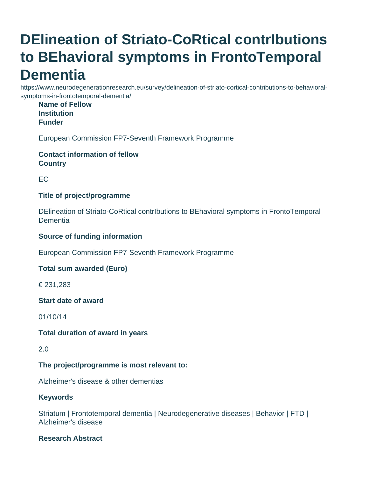# **DElineation of Striato-CoRtical contrIbutions to BEhavioral symptoms in FrontoTemporal Dementia**

https://www.neurodegenerationresearch.eu/survey/delineation-of-striato-cortical-contributions-to-behavioralsymptoms-in-frontotemporal-dementia/

#### **Name of Fellow Institution Funder**

European Commission FP7-Seventh Framework Programme

**Contact information of fellow Country**

EC

## **Title of project/programme**

DElineation of Striato-CoRtical contrIbutions to BEhavioral symptoms in FrontoTemporal Dementia

## **Source of funding information**

European Commission FP7-Seventh Framework Programme

# **Total sum awarded (Euro)**

€ 231,283

#### **Start date of award**

01/10/14

#### **Total duration of award in years**

2.0

# **The project/programme is most relevant to:**

Alzheimer's disease & other dementias

#### **Keywords**

Striatum | Frontotemporal dementia | Neurodegenerative diseases | Behavior | FTD | Alzheimer's disease

# **Research Abstract**